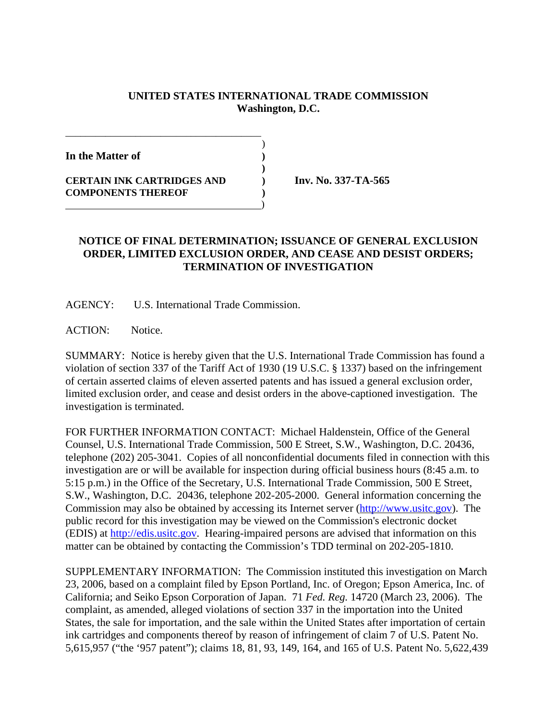## **UNITED STATES INTERNATIONAL TRADE COMMISSION Washington, D.C.**

)

**)**

**In the Matter of )**

**CERTAIN INK CARTRIDGES AND ) Inv. No. 337-TA-565 COMPONENTS THEREOF )**

\_\_\_\_\_\_\_\_\_\_\_\_\_\_\_\_\_\_\_\_\_\_\_\_\_\_\_\_\_\_\_\_\_\_\_\_\_\_\_

)

## **NOTICE OF FINAL DETERMINATION; ISSUANCE OF GENERAL EXCLUSION ORDER, LIMITED EXCLUSION ORDER, AND CEASE AND DESIST ORDERS; TERMINATION OF INVESTIGATION**

AGENCY: U.S. International Trade Commission.

ACTION: Notice.

SUMMARY: Notice is hereby given that the U.S. International Trade Commission has found a violation of section 337 of the Tariff Act of 1930 (19 U.S.C. § 1337) based on the infringement of certain asserted claims of eleven asserted patents and has issued a general exclusion order, limited exclusion order, and cease and desist orders in the above-captioned investigation. The investigation is terminated.

FOR FURTHER INFORMATION CONTACT: Michael Haldenstein, Office of the General Counsel, U.S. International Trade Commission, 500 E Street, S.W., Washington, D.C. 20436, telephone (202) 205-3041. Copies of all nonconfidential documents filed in connection with this investigation are or will be available for inspection during official business hours (8:45 a.m. to 5:15 p.m.) in the Office of the Secretary, U.S. International Trade Commission, 500 E Street, S.W., Washington, D.C. 20436, telephone 202-205-2000. General information concerning the Commission may also be obtained by accessing its Internet server (http://www.usitc.gov). The public record for this investigation may be viewed on the Commission's electronic docket (EDIS) at http://edis.usitc.gov. Hearing-impaired persons are advised that information on this matter can be obtained by contacting the Commission's TDD terminal on 202-205-1810.

SUPPLEMENTARY INFORMATION: The Commission instituted this investigation on March 23, 2006, based on a complaint filed by Epson Portland, Inc. of Oregon; Epson America, Inc. of California; and Seiko Epson Corporation of Japan. 71 *Fed. Reg.* 14720 (March 23, 2006). The complaint, as amended, alleged violations of section 337 in the importation into the United States, the sale for importation, and the sale within the United States after importation of certain ink cartridges and components thereof by reason of infringement of claim 7 of U.S. Patent No. 5,615,957 ("the '957 patent"); claims 18, 81, 93, 149, 164, and 165 of U.S. Patent No. 5,622,439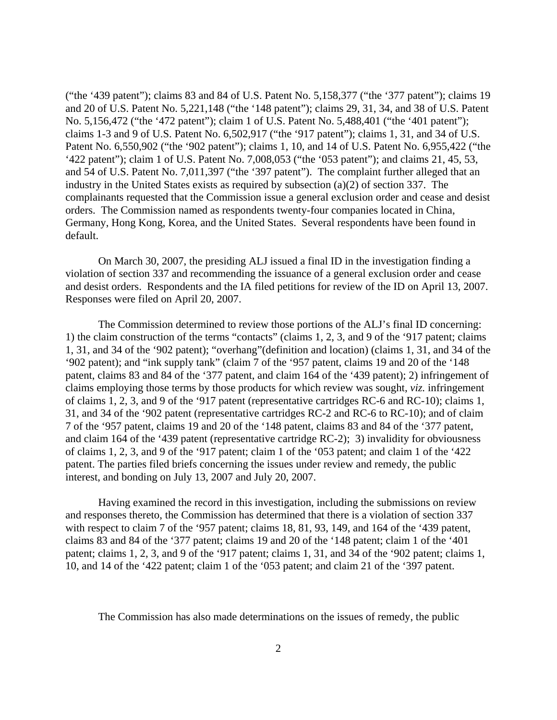("the '439 patent"); claims 83 and 84 of U.S. Patent No. 5,158,377 ("the '377 patent"); claims 19 and 20 of U.S. Patent No. 5,221,148 ("the '148 patent"); claims 29, 31, 34, and 38 of U.S. Patent No. 5,156,472 ("the '472 patent"); claim 1 of U.S. Patent No. 5,488,401 ("the '401 patent"); claims 1-3 and 9 of U.S. Patent No. 6,502,917 ("the '917 patent"); claims 1, 31, and 34 of U.S. Patent No. 6,550,902 ("the '902 patent"); claims 1, 10, and 14 of U.S. Patent No. 6,955,422 ("the '422 patent"); claim 1 of U.S. Patent No. 7,008,053 ("the '053 patent"); and claims 21, 45, 53, and 54 of U.S. Patent No. 7,011,397 ("the '397 patent"). The complaint further alleged that an industry in the United States exists as required by subsection (a)(2) of section 337. The complainants requested that the Commission issue a general exclusion order and cease and desist orders. The Commission named as respondents twenty-four companies located in China, Germany, Hong Kong, Korea, and the United States. Several respondents have been found in default.

On March 30, 2007, the presiding ALJ issued a final ID in the investigation finding a violation of section 337 and recommending the issuance of a general exclusion order and cease and desist orders. Respondents and the IA filed petitions for review of the ID on April 13, 2007. Responses were filed on April 20, 2007.

The Commission determined to review those portions of the ALJ's final ID concerning: 1) the claim construction of the terms "contacts" (claims 1, 2, 3, and 9 of the '917 patent; claims 1, 31, and 34 of the '902 patent); "overhang"(definition and location) (claims 1, 31, and 34 of the '902 patent); and "ink supply tank" (claim 7 of the '957 patent, claims 19 and 20 of the '148 patent, claims 83 and 84 of the '377 patent, and claim 164 of the '439 patent); 2) infringement of claims employing those terms by those products for which review was sought, *viz.* infringement of claims 1, 2, 3, and 9 of the '917 patent (representative cartridges RC-6 and RC-10); claims 1, 31, and 34 of the '902 patent (representative cartridges RC-2 and RC-6 to RC-10); and of claim 7 of the '957 patent, claims 19 and 20 of the '148 patent, claims 83 and 84 of the '377 patent, and claim 164 of the '439 patent (representative cartridge RC-2); 3) invalidity for obviousness of claims 1, 2, 3, and 9 of the '917 patent; claim 1 of the '053 patent; and claim 1 of the '422 patent. The parties filed briefs concerning the issues under review and remedy, the public interest, and bonding on July 13, 2007 and July 20, 2007.

Having examined the record in this investigation, including the submissions on review and responses thereto, the Commission has determined that there is a violation of section 337 with respect to claim 7 of the '957 patent; claims 18, 81, 93, 149, and 164 of the '439 patent, claims 83 and 84 of the '377 patent; claims 19 and 20 of the '148 patent; claim 1 of the '401 patent; claims 1, 2, 3, and 9 of the '917 patent; claims 1, 31, and 34 of the '902 patent; claims 1, 10, and 14 of the '422 patent; claim 1 of the '053 patent; and claim 21 of the '397 patent.

The Commission has also made determinations on the issues of remedy, the public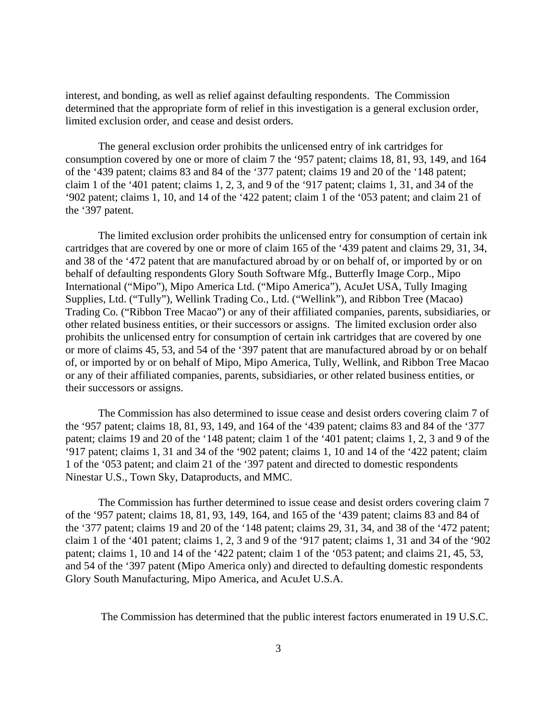interest, and bonding, as well as relief against defaulting respondents. The Commission determined that the appropriate form of relief in this investigation is a general exclusion order, limited exclusion order, and cease and desist orders.

The general exclusion order prohibits the unlicensed entry of ink cartridges for consumption covered by one or more of claim 7 the '957 patent; claims 18, 81, 93, 149, and 164 of the '439 patent; claims 83 and 84 of the '377 patent; claims 19 and 20 of the '148 patent; claim 1 of the '401 patent; claims 1, 2, 3, and 9 of the '917 patent; claims 1, 31, and 34 of the '902 patent; claims 1, 10, and 14 of the '422 patent; claim 1 of the '053 patent; and claim 21 of the '397 patent.

The limited exclusion order prohibits the unlicensed entry for consumption of certain ink cartridges that are covered by one or more of claim 165 of the '439 patent and claims 29, 31, 34, and 38 of the '472 patent that are manufactured abroad by or on behalf of, or imported by or on behalf of defaulting respondents Glory South Software Mfg., Butterfly Image Corp., Mipo International ("Mipo"), Mipo America Ltd. ("Mipo America"), AcuJet USA, Tully Imaging Supplies, Ltd. ("Tully"), Wellink Trading Co., Ltd. ("Wellink"), and Ribbon Tree (Macao) Trading Co. ("Ribbon Tree Macao") or any of their affiliated companies, parents, subsidiaries, or other related business entities, or their successors or assigns. The limited exclusion order also prohibits the unlicensed entry for consumption of certain ink cartridges that are covered by one or more of claims 45, 53, and 54 of the '397 patent that are manufactured abroad by or on behalf of, or imported by or on behalf of Mipo, Mipo America, Tully, Wellink, and Ribbon Tree Macao or any of their affiliated companies, parents, subsidiaries, or other related business entities, or their successors or assigns.

The Commission has also determined to issue cease and desist orders covering claim 7 of the '957 patent; claims 18, 81, 93, 149, and 164 of the '439 patent; claims 83 and 84 of the '377 patent; claims 19 and 20 of the '148 patent; claim 1 of the '401 patent; claims 1, 2, 3 and 9 of the '917 patent; claims 1, 31 and 34 of the '902 patent; claims 1, 10 and 14 of the '422 patent; claim 1 of the '053 patent; and claim 21 of the '397 patent and directed to domestic respondents Ninestar U.S., Town Sky, Dataproducts, and MMC.

The Commission has further determined to issue cease and desist orders covering claim 7 of the '957 patent; claims 18, 81, 93, 149, 164, and 165 of the '439 patent; claims 83 and 84 of the '377 patent; claims 19 and 20 of the '148 patent; claims 29, 31, 34, and 38 of the '472 patent; claim 1 of the '401 patent; claims 1, 2, 3 and 9 of the '917 patent; claims 1, 31 and 34 of the '902 patent; claims 1, 10 and 14 of the '422 patent; claim 1 of the '053 patent; and claims 21, 45, 53, and 54 of the '397 patent (Mipo America only) and directed to defaulting domestic respondents Glory South Manufacturing, Mipo America, and AcuJet U.S.A.

The Commission has determined that the public interest factors enumerated in 19 U.S.C.